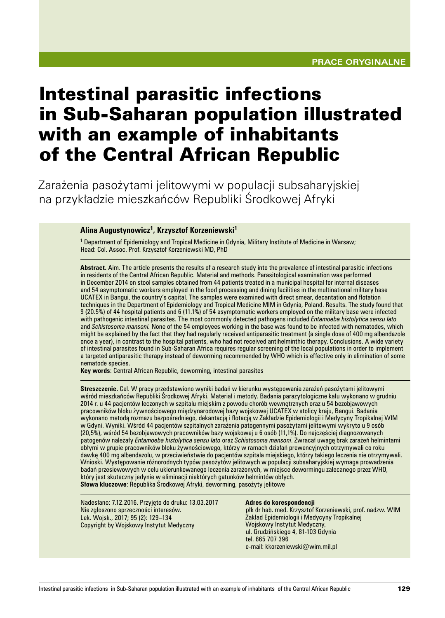# Intestinal parasitic infections in Sub‑Saharan population illustrated with an example of inhabitants of the Central African Republic

Zarażenia pasożytami jelitowymi w populacji subsaharyjskiej na przykładzie mieszkańców Republiki Środkowej Afryki

#### **Alina Augustynowicz1, Krzysztof Korzeniewski1**

1 Department of Epidemiology and Tropical Medicine in Gdynia, Military Institute of Medicine in Warsaw; Head: Col. Assoc. Prof. Krzysztof Korzeniewski MD, PhD

**Abstract.** Aim. The article presents the results of a research study into the prevalence of intestinal parasitic infections in residents of the Central African Republic. Material and methods. Parasitological examination was performed in December 2014 on stool samples obtained from 44 patients treated in a municipal hospital for internal diseases and 54 asymptomatic workers employed in the food processing and dining facilities in the multinational military base UCATEX in Bangui, the country's capital. The samples were examined with direct smear, decantation and flotation techniques in the Department of Epidemiology and Tropical Medicine MIM in Gdynia, Poland. Results. The study found that 9 (20.5%) of 44 hospital patients and 6 (11.1%) of 54 asymptomatic workers employed on the military base were infected with pathogenic intestinal parasites. The most commonly detected pathogens included *Entamoeba histolytica sensu lato*  and *Schistosoma mansoni.* None of the 54 employees working in the base was found to be infected with nematodes, which might be explained by the fact that they had regularly received antiparasitic treatment (a single dose of 400 mg albendazole once a year), in contrast to the hospital patients, who had not received antihelminthic therapy. Conclusions. A wide variety of intestinal parasites found in Sub‑Saharan Africa requires regular screening of the local populations in order to implement a targeted antiparasitic therapy instead of deworming recommended by WHO which is effective only in elimination of some nematode species.

**Key words**: Central African Republic, deworming, intestinal parasites

**Streszczenie.** Cel. W pracy przedstawiono wyniki badań w kierunku występowania zarażeń pasożytami jelitowymi wśród mieszkańców Republiki Środkowej Afryki. Materiał i metody. Badania parazytologiczne kału wykonano w grudniu 2014 r. u 44 pacjentów leczonych w szpitalu miejskim z powodu chorób wewnętrznych oraz u 54 bezobjawowych pracowników bloku żywnościowego międzynarodowej bazy wojskowej UCATEX w stolicy kraju, Bangui. Badania wykonano metodą rozmazu bezpośredniego, dekantacją i flotacją w Zakładzie Epidemiologii i Medycyny Tropikalnej WIM w Gdyni. Wyniki. Wśród 44 pacjentów szpitalnych zarażenia patogennymi pasożytami jelitowymi wykryto u 9 osób (20,5%), wśród 54 bezobjawowych pracowników bazy wojskowej u 6 osób (11,1%). Do najczęściej diagnozowanych patogenów należały *Entamoeba histolytica sensu lato* oraz *Schistosoma mansoni*. Zwracał uwagę brak zarażeń helmintami obłymi w grupie pracowników bloku żywnościowego, którzy w ramach działań prewencyjnych otrzymywali co roku dawkę 400 mg albendazolu, w przeciwieństwie do pacjentów szpitala miejskiego, którzy takiego leczenia nie otrzymywali. Wnioski. Występowanie różnorodnych typów pasożytów jelitowych w populacji subsaharyjskiej wymaga prowadzenia badań przesiewowych w celu ukierunkowanego leczenia zarażonych, w miejsce dewormingu zalecanego przez WHO, który jest skuteczny jedynie w eliminacji niektórych gatunków helmintów obłych. **Słowa kluczowe**: Republika Środkowej Afryki, deworming, pasożyty jelitowe

Nadesłano: 7.12.2016. Przyjęto do druku: 13.03.2017 Nie zgłoszono sprzeczności interesów. Lek. Wojsk., 2017; 95 (2): 129–134 Copyright by Wojskowy Instytut Medyczny

#### **Adres do korespondencji**

płk dr hab. med. Krzysztof Korzeniewski, prof. nadzw. WIM Zakład Epidemiologii i Medycyny Tropikalnej Wojskowy Instytut Medyczny, ul. Grudzińskiego 4, 81-103 Gdynia tel. 665 707 396 e‑mail: kkorzeniewski@wim.mil.pl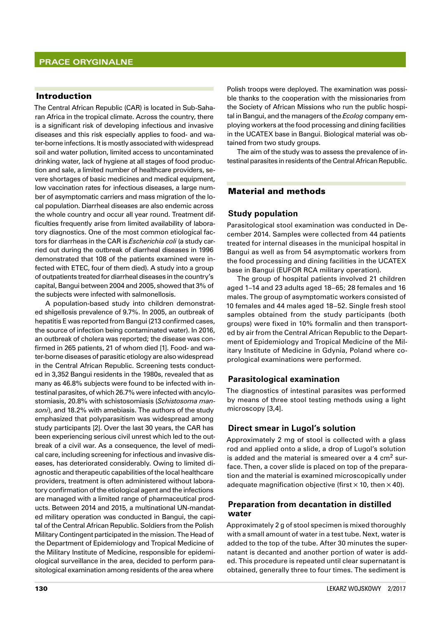# Introduction

The Central African Republic (CAR) is located in Sub-Saharan Africa in the tropical climate. Across the country, there is a significant risk of developing infectious and invasive diseases and this risk especially applies to food- and water‑borne infections. It is mostly associated with widespread soil and water pollution, limited access to uncontaminated drinking water, lack of hygiene at all stages of food production and sale, a limited number of healthcare providers, severe shortages of basic medicines and medical equipment, low vaccination rates for infectious diseases, a large number of asymptomatic carriers and mass migration of the local population. Diarrheal diseases are also endemic across the whole country and occur all year round. Treatment difficulties frequently arise from limited availability of laboratory diagnostics. One of the most common etiological factors for diarrheas in the CAR is *Escherichia coli* (a study carried out during the outbreak of diarrheal diseases in 1996 demonstrated that 108 of the patients examined were infected with ETEC, four of them died). A study into a group of outpatients treated for diarrheal diseases in the country's capital, Bangui between 2004 and 2005, showed that 3% of the subjects were infected with salmonellosis.

A population-based study into children demonstrated shigellosis prevalence of 9.7%. In 2005, an outbreak of hepatitis E was reported from Bangui (213 confirmed cases, the source of infection being contaminated water). In 2016, an outbreak of cholera was reported; the disease was confirmed in 265 patients, 21 of whom died [1]. Food- and water‑borne diseases of parasitic etiology are also widespread in the Central African Republic. Screening tests conducted in 3,352 Bangui residents in the 1980s, revealed that as many as 46.8% subjects were found to be infected with intestinal parasites, of which 26.7% were infected with ancylostomiasis, 20.8% with schistosomiasis (*Schistosoma mansoni*), and 18.2% with amebiasis. The authors of the study emphasized that polyparasitism was widespread among study participants [2]. Over the last 30 years, the CAR has been experiencing serious civil unrest which led to the outbreak of a civil war. As a consequence, the level of medical care, including screening for infectious and invasive diseases, has deteriorated considerably. Owing to limited diagnostic and therapeutic capabilities of the local healthcare providers, treatment is often administered without laboratory confirmation of the etiological agent and the infections are managed with a limited range of pharmaceutical products. Between 2014 and 2015, a multinational UN-mandated military operation was conducted in Bangui, the capital of the Central African Republic. Soldiers from the Polish Military Contingent participated in the mission. The Head of the Department of Epidemiology and Tropical Medicine of the Military Institute of Medicine, responsible for epidemiological surveillance in the area, decided to perform parasitological examination among residents of the area where

Polish troops were deployed. The examination was possible thanks to the cooperation with the missionaries from the Society of African Missions who run the public hospital in Bangui, and the managers of the *Ecolog* company employing workers at the food processing and dining facilities in the UCATEX base in Bangui. Biological material was obtained from two study groups.

The aim of the study was to assess the prevalence of intestinal parasites in residents of the Central African Republic.

# Material and methods

### **Study population**

Parasitological stool examination was conducted in December 2014. Samples were collected from 44 patients treated for internal diseases in the municipal hospital in Bangui as well as from 54 asymptomatic workers from the food processing and dining facilities in the UCATEX base in Bangui (EUFOR RCA military operation).

The group of hospital patients involved 21 children aged 1–14 and 23 adults aged 18–65; 28 females and 16 males. The group of asymptomatic workers consisted of 10 females and 44 males aged 18–52. Single fresh stool samples obtained from the study participants (both groups) were fixed in 10% formalin and then transported by air from the Central African Republic to the Department of Epidemiology and Tropical Medicine of the Military Institute of Medicine in Gdynia, Poland where coprological examinations were performed.

# **Parasitological examination**

The diagnostics of intestinal parasites was performed by means of three stool testing methods using a light microscopy [3,4].

#### **Direct smear in Lugol's solution**

Approximately 2 mg of stool is collected with a glass rod and applied onto a slide, a drop of Lugol's solution is added and the material is smeared over a 4  $\text{cm}^2$  surface. Then, a cover slide is placed on top of the preparation and the material is examined microscopically under adequate magnification objective (first  $\times$  10, then  $\times$  40).

# **Preparation from decantation in distilled water**

Approximately 2 g of stool specimen is mixed thoroughly with a small amount of water in a test tube. Next, water is added to the top of the tube. After 30 minutes the supernatant is decanted and another portion of water is added. This procedure is repeated until clear supernatant is obtained, generally three to four times. The sediment is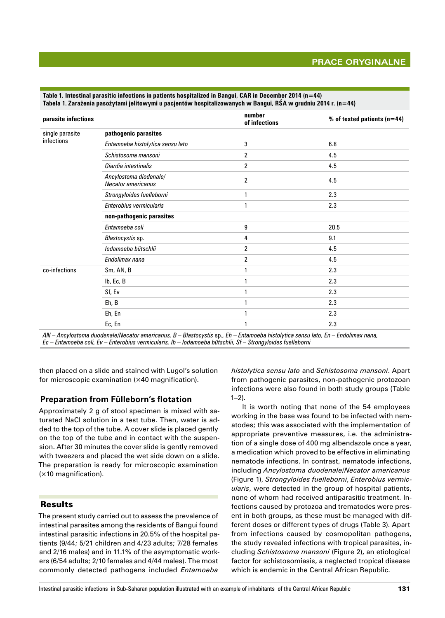# **Prace oryginalne**

| parasite infections           |                                                     | number<br>of infections | % of tested patients $(n=44)$ |
|-------------------------------|-----------------------------------------------------|-------------------------|-------------------------------|
| single parasite<br>infections | pathogenic parasites                                |                         |                               |
|                               | Entamoeba histolytica sensu lato                    | 3                       | 6.8                           |
|                               | Schistosoma mansoni                                 | $\overline{c}$          | 4.5                           |
|                               | Giardia intestinalis                                | 2                       | 4.5                           |
|                               | Ancylostoma diodenale/<br><b>Necator americanus</b> | $\overline{c}$          | 4.5                           |
|                               | Strongyloides fuelleborni                           | 1                       | 2.3                           |
|                               | Enterobius vermicularis                             | 1                       | 2.3                           |
|                               | non-pathogenic parasites                            |                         |                               |
|                               | Entamoeba coli                                      | 9                       | 20.5                          |
|                               | Blastocystis sp.                                    | 4                       | 9.1                           |
|                               | lodamoeba bütschlii                                 | 2                       | 4.5                           |
|                               | Endolimax nana                                      | $\overline{c}$          | 4.5                           |
| co-infections                 | Sm, AN, B                                           | 1                       | 2.3                           |
|                               | Ib, Ec, B                                           | 1                       | 2.3                           |
|                               | Sf, Ev                                              | 1                       | 2.3                           |
|                               | Eh, B                                               | 1                       | 2.3                           |
|                               | Eh, En                                              |                         | 2.3                           |
|                               | Ec, En                                              | 1                       | 2.3                           |

**Table 1. Intestinal parasitic infections in patients hospitalized in Bangui, CAR in December 2014 (n=44) Tabela 1. Zarażenia pasożytami jelitowymi u pacjentów hospitalizowanych w Bangui, RŚA w grudniu 2014 r. (n=44)**

*AN – Ancylostoma duodenale/Necator americanus, B – Blastocystis* sp.*, Eh – Entamoeba histolytica sensu lato, En – Endolimax nana, Ec – Entamoeba coli, Ev – Enterobius vermicularis, Ib – Iodamoeba bütschlii, Sf – Strongyloides fuelleborni*

then placed on a slide and stained with Lugol's solution for microscopic examination (×40 magnification).

#### **Preparation from Fülleborn's flotation**

Approximately 2 g of stool specimen is mixed with saturated NaCl solution in a test tube. Then, water is added to the top of the tube. A cover slide is placed gently on the top of the tube and in contact with the suspension. After 30 minutes the cover slide is gently removed with tweezers and placed the wet side down on a slide. The preparation is ready for microscopic examination (×10 magnification).

#### Results

The present study carried out to assess the prevalence of intestinal parasites among the residents of Bangui found intestinal parasitic infections in 20.5% of the hospital patients (9/44; 5/21 children and 4/23 adults; 7/28 females and 2/16 males) and in 11.1% of the asymptomatic workers (6/54 adults; 2/10 females and 4/44 males). The most commonly detected pathogens included *Entamoeba* 

*histolytica sensu lato* and *Schistosoma mansoni*. Apart from pathogenic parasites, non‑pathogenic protozoan infections were also found in both study groups (Table  $1-2$ ).

It is worth noting that none of the 54 employees working in the base was found to be infected with nematodes; this was associated with the implementation of appropriate preventive measures, i.e. the administration of a single dose of 400 mg albendazole once a year, a medication which proved to be effective in eliminating nematode infections. In contrast, nematode infections, including *Ancylostoma duodenale*/*Necator americanus* (Figure 1), *Strongyloides fuelleborni*, *Enterobius vermicularis*, were detected in the group of hospital patients, none of whom had received antiparasitic treatment. Infections caused by protozoa and trematodes were present in both groups, as these must be managed with different doses or different types of drugs (Table 3). Apart from infections caused by cosmopolitan pathogens, the study revealed infections with tropical parasites, including *Schistosoma mansoni* (Figure 2), an etiological factor for schistosomiasis, a neglected tropical disease which is endemic in the Central African Republic.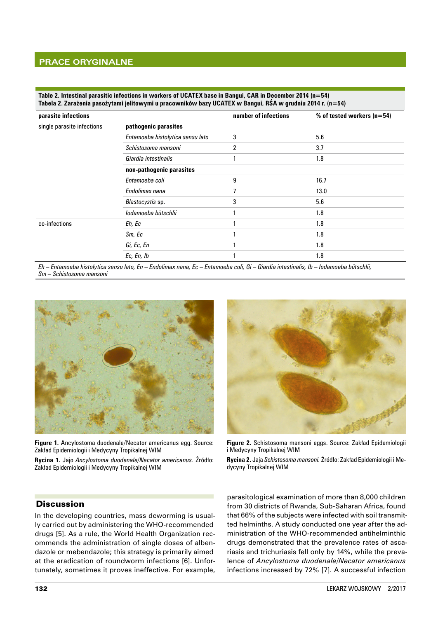**Table 2. Intestinal parasitic infections in workers of UCATEX base in Bangui, CAR in December 2014 (n=54) Tabela 2. Zarażenia pasożytami jelitowymi u pracowników bazy UCATEX w Bangui, RŚA w grudniu 2014 r. (n=54)**

| parasite infections        |                                  | number of infections | % of tested workers ( $n=54$ ) |
|----------------------------|----------------------------------|----------------------|--------------------------------|
| single parasite infections | pathogenic parasites             |                      |                                |
|                            | Entamoeba histolytica sensu lato | 3                    | 5.6                            |
|                            | Schistosoma mansoni              | 2                    | 3.7                            |
|                            | Giardia intestinalis             |                      | 1.8                            |
|                            | non-pathogenic parasites         |                      |                                |
|                            | Entamoeba coli                   | 9                    | 16.7                           |
|                            | Endolimax nana                   |                      | 13.0                           |
|                            | Blastocystis sp.                 | 3                    | 5.6                            |
|                            | lodamoeba bütschlii              |                      | 1.8                            |
| co-infections              | Eh, Ec                           |                      | 1.8                            |
|                            | Sm, Ec                           |                      | 1.8                            |
|                            | Gi, Ec, En                       |                      | 1.8                            |
|                            | Ec, En, Ib                       |                      | 1.8                            |

*Eh – Entamoeba histolytica sensu lato, En – Endolimax nana, Ec – Entamoeba coli, Gi – Giardia intestinalis, Ib – Iodamoeba bütschlii, Sm – Schistosoma mansoni*



**Figure 1.** Ancylostoma duodenale/Necator americanus egg. Source: Zakład Epidemiologii i Medycyny Tropikalnej WIM

**Rycina 1.** Jajo *Ancylostoma duodenale*/*Necator americanus.* Źródło: Zakład Epidemiologii i Medycyny Tropikalnej WIM



**Figure 2.** Schistosoma mansoni eggs. Source: Zakład Epidemiologii i Medycyny Tropikalnej WIM

**Rycina 2.** Jaja *Schistosoma mansoni.* Źródło: Zakład Epidemiologii i Me‑ dycyny Tropikalnej WIM

#### **Discussion**

In the developing countries, mass deworming is usually carried out by administering the WHO-recommended drugs [5]. As a rule, the World Health Organization recommends the administration of single doses of albendazole or mebendazole; this strategy is primarily aimed at the eradication of roundworm infections [6]. Unfortunately, sometimes it proves ineffective. For example,

parasitological examination of more than 8,000 children from 30 districts of Rwanda, Sub‑Saharan Africa, found that 66% of the subjects were infected with soil transmitted helminths. A study conducted one year after the administration of the WHO‑recommended antihelminthic drugs demonstrated that the prevalence rates of ascariasis and trichuriasis fell only by 14%, while the prevalence of *Ancylostoma duodenale*/*Necator americanus*  infections increased by 72% [7]. A successful infection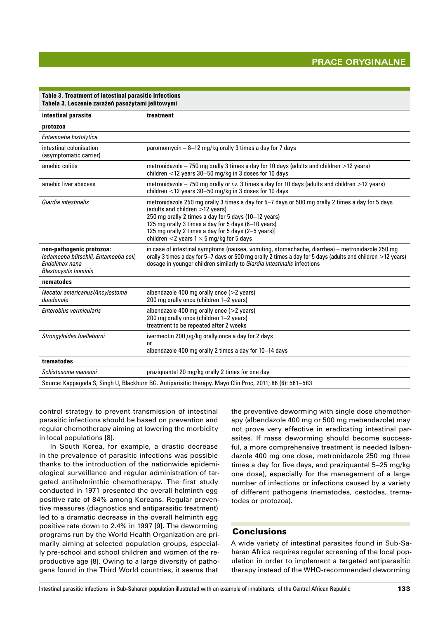| Table 3. Treatment of intestinal parasitic infections<br>Tabela 3. Leczenie zarażeń pasożytami jelitowymi         |                                                                                                                                                                                                                                                                                                                                                              |  |  |
|-------------------------------------------------------------------------------------------------------------------|--------------------------------------------------------------------------------------------------------------------------------------------------------------------------------------------------------------------------------------------------------------------------------------------------------------------------------------------------------------|--|--|
| intestinal parasite                                                                                               | treatment                                                                                                                                                                                                                                                                                                                                                    |  |  |
| protozoa                                                                                                          |                                                                                                                                                                                                                                                                                                                                                              |  |  |
| Entamoeba histolytica                                                                                             |                                                                                                                                                                                                                                                                                                                                                              |  |  |
| intestinal colonisation<br>(asymptomatic carrier)                                                                 | paromomycin - 8-12 mg/kg orally 3 times a day for 7 days                                                                                                                                                                                                                                                                                                     |  |  |
| amebic colitis                                                                                                    | metronidazole $-750$ mg orally 3 times a day for 10 days (adults and children $>$ 12 years)<br>children $<$ 12 years 30-50 mg/kg in 3 doses for 10 days                                                                                                                                                                                                      |  |  |
| amebic liver abscess                                                                                              | metronidazole – 750 mg orally or <i>i.v.</i> 3 times a day for 10 days (adults and children $>$ 12 years)<br>children $<$ 12 years 30-50 mg/kg in 3 doses for 10 days                                                                                                                                                                                        |  |  |
| Giardia intestinalis                                                                                              | metronidazole 250 mg orally 3 times a day for 5-7 days or 500 mg orally 2 times a day for 5 days<br>(adults and children >12 years)<br>250 mg orally 2 times a day for 5 days (10-12 years)<br>125 mg orally 3 times a day for 5 days (6-10 years)<br>125 mg orally 2 times a day for 5 days (2-5 years)]<br>children <2 years $1 \times 5$ mg/kg for 5 days |  |  |
| non-pathogenic protozoa:<br>lodamoeba bütschlii, Entamoeba coli,<br>Endolimax nana<br><b>Blastocystis hominis</b> | in case of intestinal symptoms (nausea, vomiting, stomachache, diarrhea) – metronidazole 250 mg<br>orally 3 times a day for 5–7 days or 500 mg orally 2 times a day for 5 days (adults and children >12 years)<br>dosage in younger children similarly to Giardia intestinalis infections                                                                    |  |  |
| nematodes                                                                                                         |                                                                                                                                                                                                                                                                                                                                                              |  |  |
| Necator americanus/Ancylostoma<br>duodenale                                                                       | albendazole 400 mg orally once $(>2$ years)<br>200 mg orally once (children 1-2 years)                                                                                                                                                                                                                                                                       |  |  |
| Enterobius vermicularis                                                                                           | albendazole 400 mg orally once (>2 years)<br>200 mg orally once (children 1-2 years)<br>treatment to be repeated after 2 weeks                                                                                                                                                                                                                               |  |  |
| Strongyloides fuelleborni                                                                                         | ivermectin 200 $\mu$ g/kg orally once a day for 2 days<br>or<br>albendazole 400 mg orally 2 times a day for 10-14 days                                                                                                                                                                                                                                       |  |  |
| trematodes                                                                                                        |                                                                                                                                                                                                                                                                                                                                                              |  |  |
| Schistosoma mansoni                                                                                               | praziguantel 20 mg/kg orally 2 times for one day                                                                                                                                                                                                                                                                                                             |  |  |
|                                                                                                                   | Source: Kappagoda S, Singh U, Blackburn BG. Antiparisitic therapy. Mayo Clin Proc, 2011; 86 (6): 561–583                                                                                                                                                                                                                                                     |  |  |

control strategy to prevent transmission of intestinal parasitic infections should be based on prevention and regular chemotherapy aiming at lowering the morbidity in local populations [8].

In South Korea, for example, a drastic decrease in the prevalence of parasitic infections was possible thanks to the introduction of the nationwide epidemiological surveillance and regular administration of targeted antihelminthic chemotherapy. The first study conducted in 1971 presented the overall helminth egg positive rate of 84% among Koreans. Regular preventive measures (diagnostics and antiparasitic treatment) led to a dramatic decrease in the overall helminth egg positive rate down to 2.4% in 1997 [9]. The deworming programs run by the World Health Organization are primarily aiming at selected population groups, especially pre‑school and school children and women of the reproductive age [8]. Owing to a large diversity of pathogens found in the Third World countries, it seems that

the preventive deworming with single dose chemotherapy (albendazole 400 mg or 500 mg mebendazole) may not prove very effective in eradicating intestinal parasites. If mass deworming should become successful, a more comprehensive treatment is needed (albendazole 400 mg one dose, metronidazole 250 mg three times a day for five days, and praziquantel 5–25 mg/kg one dose), especially for the management of a large number of infections or infections caused by a variety of different pathogens (nematodes, cestodes, trematodes or protozoa).

# **Conclusions**

A wide variety of intestinal parasites found in Sub‑Saharan Africa requires regular screening of the local population in order to implement a targeted antiparasitic therapy instead of the WHO‑recommended deworming